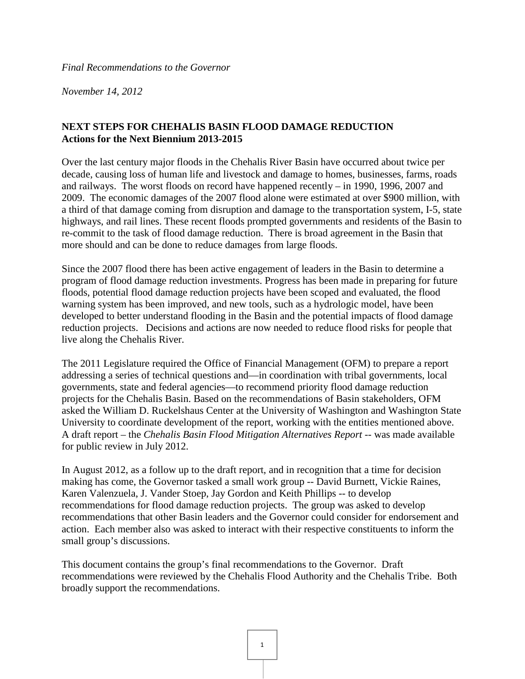*November 14, 2012*

# **NEXT STEPS FOR CHEHALIS BASIN FLOOD DAMAGE REDUCTION Actions for the Next Biennium 2013-2015**

Over the last century major floods in the Chehalis River Basin have occurred about twice per decade, causing loss of human life and livestock and damage to homes, businesses, farms, roads and railways. The worst floods on record have happened recently – in 1990, 1996, 2007 and 2009. The economic damages of the 2007 flood alone were estimated at over \$900 million, with a third of that damage coming from disruption and damage to the transportation system, I-5, state highways, and rail lines. These recent floods prompted governments and residents of the Basin to re-commit to the task of flood damage reduction. There is broad agreement in the Basin that more should and can be done to reduce damages from large floods.

Since the 2007 flood there has been active engagement of leaders in the Basin to determine a program of flood damage reduction investments. Progress has been made in preparing for future floods, potential flood damage reduction projects have been scoped and evaluated, the flood warning system has been improved, and new tools, such as a hydrologic model, have been developed to better understand flooding in the Basin and the potential impacts of flood damage reduction projects. Decisions and actions are now needed to reduce flood risks for people that live along the Chehalis River.

The 2011 Legislature required the Office of Financial Management (OFM) to prepare a report addressing a series of technical questions and—in coordination with tribal governments, local governments, state and federal agencies—to recommend priority flood damage reduction projects for the Chehalis Basin. Based on the recommendations of Basin stakeholders, OFM asked the William D. Ruckelshaus Center at the University of Washington and Washington State University to coordinate development of the report, working with the entities mentioned above. A draft report – the *Chehalis Basin Flood Mitigation Alternatives Report* -- was made available for public review in July 2012.

In August 2012, as a follow up to the draft report, and in recognition that a time for decision making has come, the Governor tasked a small work group -- David Burnett, Vickie Raines, Karen Valenzuela, J. Vander Stoep, Jay Gordon and Keith Phillips -- to develop recommendations for flood damage reduction projects. The group was asked to develop recommendations that other Basin leaders and the Governor could consider for endorsement and action. Each member also was asked to interact with their respective constituents to inform the small group's discussions.

This document contains the group's final recommendations to the Governor. Draft recommendations were reviewed by the Chehalis Flood Authority and the Chehalis Tribe. Both broadly support the recommendations.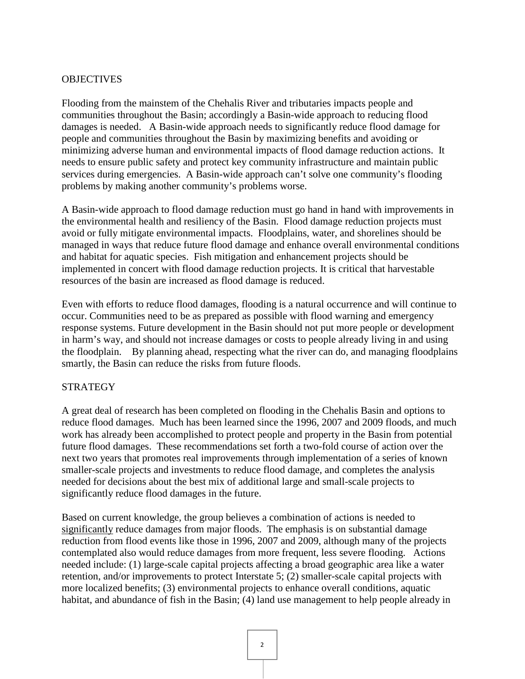## **OBJECTIVES**

Flooding from the mainstem of the Chehalis River and tributaries impacts people and communities throughout the Basin; accordingly a Basin-wide approach to reducing flood damages is needed. A Basin-wide approach needs to significantly reduce flood damage for people and communities throughout the Basin by maximizing benefits and avoiding or minimizing adverse human and environmental impacts of flood damage reduction actions. It needs to ensure public safety and protect key community infrastructure and maintain public services during emergencies. A Basin-wide approach can't solve one community's flooding problems by making another community's problems worse.

A Basin-wide approach to flood damage reduction must go hand in hand with improvements in the environmental health and resiliency of the Basin. Flood damage reduction projects must avoid or fully mitigate environmental impacts. Floodplains, water, and shorelines should be managed in ways that reduce future flood damage and enhance overall environmental conditions and habitat for aquatic species. Fish mitigation and enhancement projects should be implemented in concert with flood damage reduction projects. It is critical that harvestable resources of the basin are increased as flood damage is reduced.

Even with efforts to reduce flood damages, flooding is a natural occurrence and will continue to occur. Communities need to be as prepared as possible with flood warning and emergency response systems. Future development in the Basin should not put more people or development in harm's way, and should not increase damages or costs to people already living in and using the floodplain. By planning ahead, respecting what the river can do, and managing floodplains smartly, the Basin can reduce the risks from future floods.

#### **STRATEGY**

A great deal of research has been completed on flooding in the Chehalis Basin and options to reduce flood damages. Much has been learned since the 1996, 2007 and 2009 floods, and much work has already been accomplished to protect people and property in the Basin from potential future flood damages. These recommendations set forth a two-fold course of action over the next two years that promotes real improvements through implementation of a series of known smaller-scale projects and investments to reduce flood damage, and completes the analysis needed for decisions about the best mix of additional large and small-scale projects to significantly reduce flood damages in the future.

Based on current knowledge, the group believes a combination of actions is needed to significantly reduce damages from major floods. The emphasis is on substantial damage reduction from flood events like those in 1996, 2007 and 2009, although many of the projects contemplated also would reduce damages from more frequent, less severe flooding. Actions needed include: (1) large-scale capital projects affecting a broad geographic area like a water retention, and/or improvements to protect Interstate 5; (2) smaller-scale capital projects with more localized benefits; (3) environmental projects to enhance overall conditions, aquatic habitat, and abundance of fish in the Basin; (4) land use management to help people already in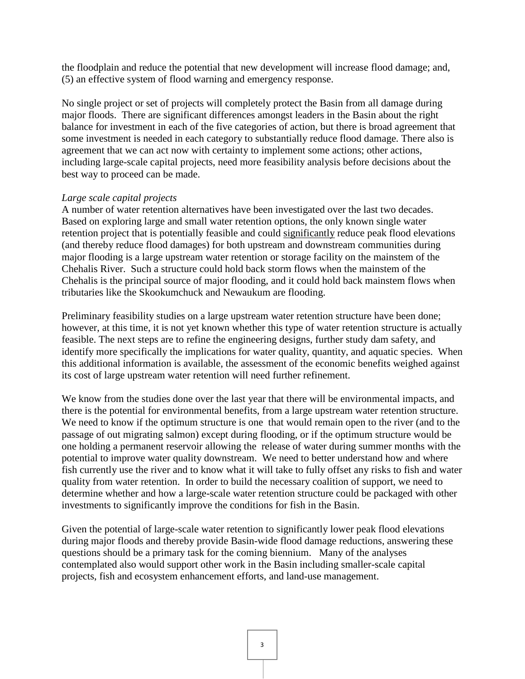the floodplain and reduce the potential that new development will increase flood damage; and, (5) an effective system of flood warning and emergency response.

No single project or set of projects will completely protect the Basin from all damage during major floods. There are significant differences amongst leaders in the Basin about the right balance for investment in each of the five categories of action, but there is broad agreement that some investment is needed in each category to substantially reduce flood damage. There also is agreement that we can act now with certainty to implement some actions; other actions, including large-scale capital projects, need more feasibility analysis before decisions about the best way to proceed can be made.

### *Large scale capital projects*

A number of water retention alternatives have been investigated over the last two decades. Based on exploring large and small water retention options, the only known single water retention project that is potentially feasible and could significantly reduce peak flood elevations (and thereby reduce flood damages) for both upstream and downstream communities during major flooding is a large upstream water retention or storage facility on the mainstem of the Chehalis River. Such a structure could hold back storm flows when the mainstem of the Chehalis is the principal source of major flooding, and it could hold back mainstem flows when tributaries like the Skookumchuck and Newaukum are flooding.

Preliminary feasibility studies on a large upstream water retention structure have been done; however, at this time, it is not yet known whether this type of water retention structure is actually feasible. The next steps are to refine the engineering designs, further study dam safety, and identify more specifically the implications for water quality, quantity, and aquatic species. When this additional information is available, the assessment of the economic benefits weighed against its cost of large upstream water retention will need further refinement.

We know from the studies done over the last year that there will be environmental impacts, and there is the potential for environmental benefits, from a large upstream water retention structure. We need to know if the optimum structure is one that would remain open to the river (and to the passage of out migrating salmon) except during flooding, or if the optimum structure would be one holding a permanent reservoir allowing the release of water during summer months with the potential to improve water quality downstream. We need to better understand how and where fish currently use the river and to know what it will take to fully offset any risks to fish and water quality from water retention. In order to build the necessary coalition of support, we need to determine whether and how a large-scale water retention structure could be packaged with other investments to significantly improve the conditions for fish in the Basin.

Given the potential of large-scale water retention to significantly lower peak flood elevations during major floods and thereby provide Basin-wide flood damage reductions, answering these questions should be a primary task for the coming biennium. Many of the analyses contemplated also would support other work in the Basin including smaller-scale capital projects, fish and ecosystem enhancement efforts, and land-use management.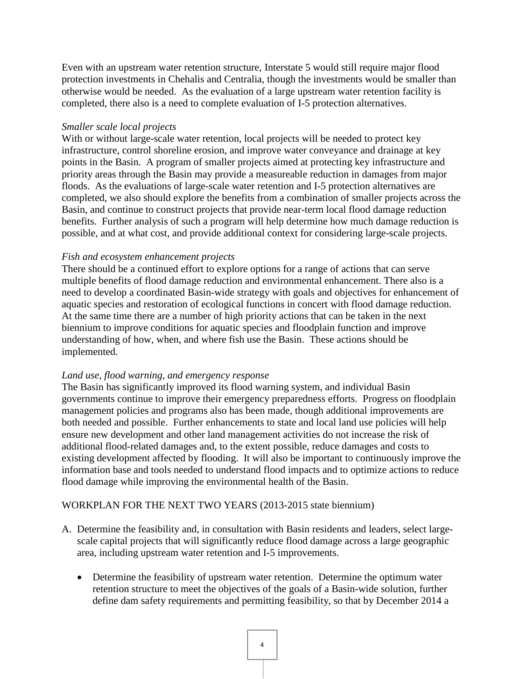Even with an upstream water retention structure, Interstate 5 would still require major flood protection investments in Chehalis and Centralia, though the investments would be smaller than otherwise would be needed. As the evaluation of a large upstream water retention facility is completed, there also is a need to complete evaluation of I-5 protection alternatives.

### *Smaller scale local projects*

With or without large-scale water retention, local projects will be needed to protect key infrastructure, control shoreline erosion, and improve water conveyance and drainage at key points in the Basin. A program of smaller projects aimed at protecting key infrastructure and priority areas through the Basin may provide a measureable reduction in damages from major floods. As the evaluations of large-scale water retention and I-5 protection alternatives are completed, we also should explore the benefits from a combination of smaller projects across the Basin, and continue to construct projects that provide near-term local flood damage reduction benefits. Further analysis of such a program will help determine how much damage reduction is possible, and at what cost, and provide additional context for considering large-scale projects.

### *Fish and ecosystem enhancement projects*

There should be a continued effort to explore options for a range of actions that can serve multiple benefits of flood damage reduction and environmental enhancement. There also is a need to develop a coordinated Basin-wide strategy with goals and objectives for enhancement of aquatic species and restoration of ecological functions in concert with flood damage reduction. At the same time there are a number of high priority actions that can be taken in the next biennium to improve conditions for aquatic species and floodplain function and improve understanding of how, when, and where fish use the Basin. These actions should be implemented.

### *Land use, flood warning, and emergency response*

The Basin has significantly improved its flood warning system, and individual Basin governments continue to improve their emergency preparedness efforts. Progress on floodplain management policies and programs also has been made, though additional improvements are both needed and possible. Further enhancements to state and local land use policies will help ensure new development and other land management activities do not increase the risk of additional flood-related damages and, to the extent possible, reduce damages and costs to existing development affected by flooding. It will also be important to continuously improve the information base and tools needed to understand flood impacts and to optimize actions to reduce flood damage while improving the environmental health of the Basin.

# WORKPLAN FOR THE NEXT TWO YEARS (2013-2015 state biennium)

- A. Determine the feasibility and, in consultation with Basin residents and leaders, select largescale capital projects that will significantly reduce flood damage across a large geographic area, including upstream water retention and I-5 improvements.
	- Determine the feasibility of upstream water retention. Determine the optimum water retention structure to meet the objectives of the goals of a Basin-wide solution, further define dam safety requirements and permitting feasibility, so that by December 2014 a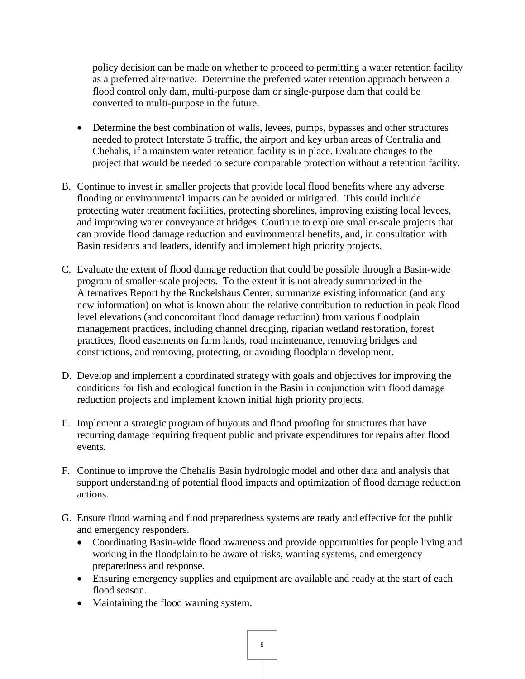policy decision can be made on whether to proceed to permitting a water retention facility as a preferred alternative. Determine the preferred water retention approach between a flood control only dam, multi-purpose dam or single-purpose dam that could be converted to multi-purpose in the future.

- Determine the best combination of walls, levees, pumps, bypasses and other structures needed to protect Interstate 5 traffic, the airport and key urban areas of Centralia and Chehalis, if a mainstem water retention facility is in place. Evaluate changes to the project that would be needed to secure comparable protection without a retention facility.
- B. Continue to invest in smaller projects that provide local flood benefits where any adverse flooding or environmental impacts can be avoided or mitigated. This could include protecting water treatment facilities, protecting shorelines, improving existing local levees, and improving water conveyance at bridges. Continue to explore smaller-scale projects that can provide flood damage reduction and environmental benefits, and, in consultation with Basin residents and leaders, identify and implement high priority projects.
- C. Evaluate the extent of flood damage reduction that could be possible through a Basin-wide program of smaller-scale projects. To the extent it is not already summarized in the Alternatives Report by the Ruckelshaus Center, summarize existing information (and any new information) on what is known about the relative contribution to reduction in peak flood level elevations (and concomitant flood damage reduction) from various floodplain management practices, including channel dredging, riparian wetland restoration, forest practices, flood easements on farm lands, road maintenance, removing bridges and constrictions, and removing, protecting, or avoiding floodplain development.
- D. Develop and implement a coordinated strategy with goals and objectives for improving the conditions for fish and ecological function in the Basin in conjunction with flood damage reduction projects and implement known initial high priority projects.
- E. Implement a strategic program of buyouts and flood proofing for structures that have recurring damage requiring frequent public and private expenditures for repairs after flood events.
- F. Continue to improve the Chehalis Basin hydrologic model and other data and analysis that support understanding of potential flood impacts and optimization of flood damage reduction actions.
- G. Ensure flood warning and flood preparedness systems are ready and effective for the public and emergency responders.
	- Coordinating Basin-wide flood awareness and provide opportunities for people living and working in the floodplain to be aware of risks, warning systems, and emergency preparedness and response.
	- Ensuring emergency supplies and equipment are available and ready at the start of each flood season.
	- Maintaining the flood warning system.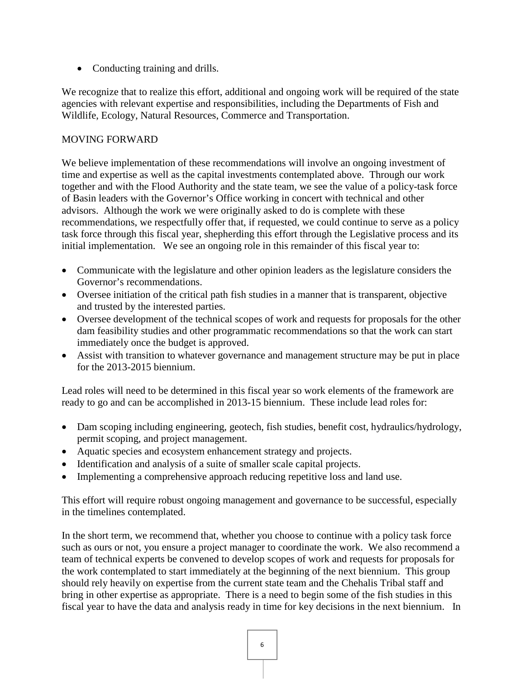• Conducting training and drills.

We recognize that to realize this effort, additional and ongoing work will be required of the state agencies with relevant expertise and responsibilities, including the Departments of Fish and Wildlife, Ecology, Natural Resources, Commerce and Transportation.

# MOVING FORWARD

We believe implementation of these recommendations will involve an ongoing investment of time and expertise as well as the capital investments contemplated above. Through our work together and with the Flood Authority and the state team, we see the value of a policy-task force of Basin leaders with the Governor's Office working in concert with technical and other advisors. Although the work we were originally asked to do is complete with these recommendations, we respectfully offer that, if requested, we could continue to serve as a policy task force through this fiscal year, shepherding this effort through the Legislative process and its initial implementation. We see an ongoing role in this remainder of this fiscal year to:

- Communicate with the legislature and other opinion leaders as the legislature considers the Governor's recommendations.
- Oversee initiation of the critical path fish studies in a manner that is transparent, objective and trusted by the interested parties.
- Oversee development of the technical scopes of work and requests for proposals for the other dam feasibility studies and other programmatic recommendations so that the work can start immediately once the budget is approved.
- Assist with transition to whatever governance and management structure may be put in place for the 2013-2015 biennium.

Lead roles will need to be determined in this fiscal year so work elements of the framework are ready to go and can be accomplished in 2013-15 biennium. These include lead roles for:

- Dam scoping including engineering, geotech, fish studies, benefit cost, hydraulics/hydrology, permit scoping, and project management.
- Aquatic species and ecosystem enhancement strategy and projects.
- Identification and analysis of a suite of smaller scale capital projects.
- Implementing a comprehensive approach reducing repetitive loss and land use.

This effort will require robust ongoing management and governance to be successful, especially in the timelines contemplated.

In the short term, we recommend that, whether you choose to continue with a policy task force such as ours or not, you ensure a project manager to coordinate the work. We also recommend a team of technical experts be convened to develop scopes of work and requests for proposals for the work contemplated to start immediately at the beginning of the next biennium. This group should rely heavily on expertise from the current state team and the Chehalis Tribal staff and bring in other expertise as appropriate. There is a need to begin some of the fish studies in this fiscal year to have the data and analysis ready in time for key decisions in the next biennium. In